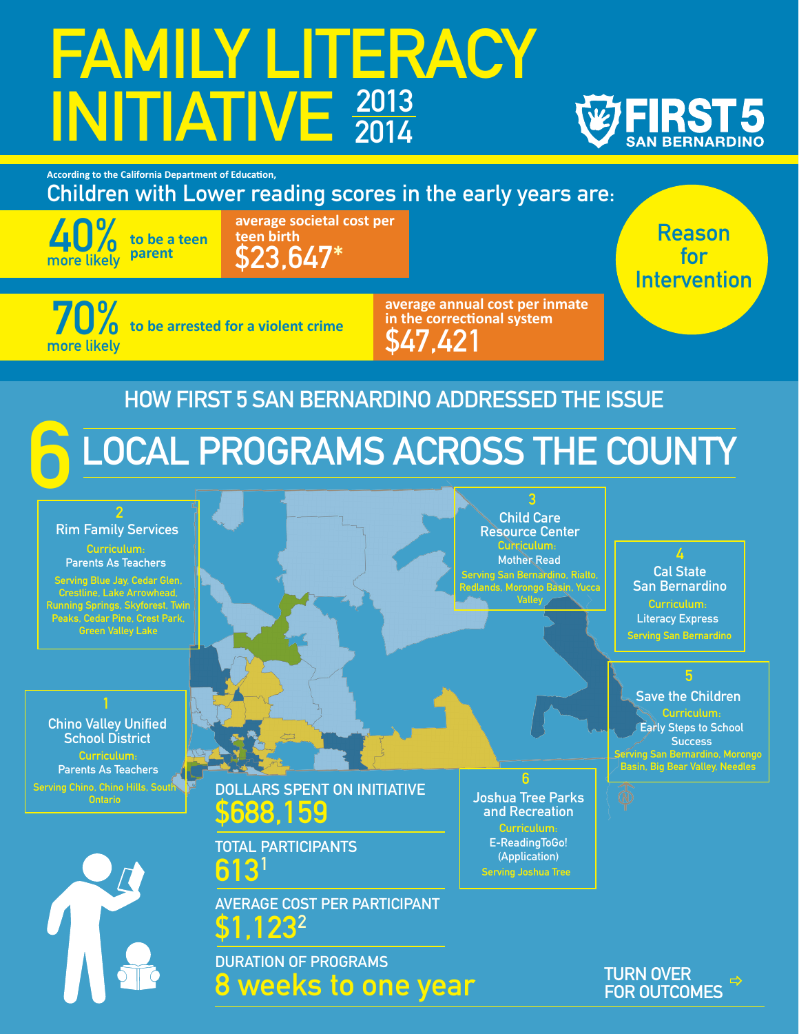# **FAMILY LITERACY INITIATIVE 2013 2014**



**According to the California Department of Education,**

## **Children with Lower reading scores in the early years are:**



**70%**

**more likely**

**to be a teen parent**

**average societal cost per 40% teen birth \$23,647\***



**to be arrested for a violent crime**

**average annual cost per inmate in the correctional system \$47,421**

**Reason for Intervention**

### **HOW FIRST 5 SAN BERNARDINO ADDRESSED THE ISSUE**

## **LOCAL PROGRAMS ACROSS THE COUNTY 6**

#### **Rim Family Services 2**

**Curriculum:**

**Serving Blue Jay, Cedar Glen, Crestline, Lake Arrowhead, Running Springs, Skyforest, Twin Peaks, Cedar Pine, Crest Park,** 

#### **Chino Valley Unified School District Curriculum: Parents As Teachers Serving Chino, Chino Hills, South Ontario**



**Parents As Teachers Cal State Serving San Bernardino, Rialto, Child Care Resource Center Curriculum: Mother Read Redlands, Morongo Basin, Yucca Valley**

**3**

**San Bernardino Curriculum: Literacy Express Serving San Bernardino** 

#### **5**

**Save the Children Curriculum: Early Steps to School Success Serving San Bernardino, Morongo Basin, Big Bear Valley, Needles** 

**DOLLARS SPENT ON INITIATIVE \$688,159**

**TOTAL PARTICIPANTS 6131**

**AVERAGE COST PER PARTICIPANT \$1,1232**

**DURATION OF PROGRAMS 8 weeks to one year**

**Joshua Tree Parks and Recreation 6 Curriculum: E-ReadingToGo! (Application) Serving Joshua Tree**